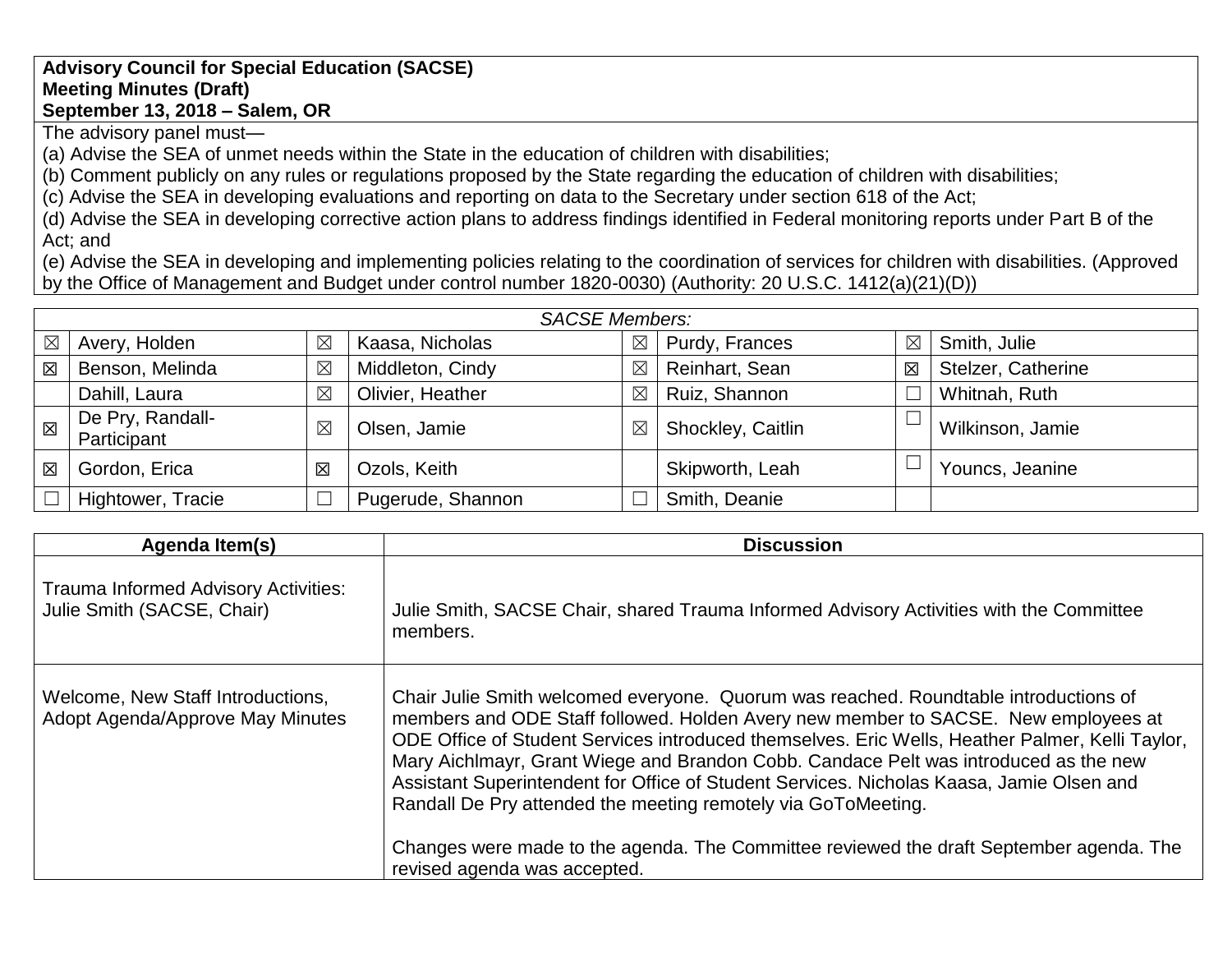## **Advisory Council for Special Education (SACSE) Meeting Minutes (Draft) September 13, 2018 – Salem, OR**

The advisory panel must—

(a) Advise the SEA of unmet needs within the State in the education of children with disabilities;

(b) Comment publicly on any rules or regulations proposed by the State regarding the education of children with disabilities;

(c) Advise the SEA in developing evaluations and reporting on data to the Secretary under section 618 of the Act;

(d) Advise the SEA in developing corrective action plans to address findings identified in Federal monitoring reports under Part B of the Act; and

(e) Advise the SEA in developing and implementing policies relating to the coordination of services for children with disabilities. (Approved by the Office of Management and Budget under control number 1820-0030) (Authority: 20 U.S.C. 1412(a)(21)(D))

| <b>SACSE Members:</b> |                                 |                         |                   |             |                   |             |                    |
|-----------------------|---------------------------------|-------------------------|-------------------|-------------|-------------------|-------------|--------------------|
| $\boxtimes$           | Avery, Holden                   | $\boxtimes$             | Kaasa, Nicholas   | $\boxtimes$ | Purdy, Frances    | $\boxtimes$ | Smith, Julie       |
| 区                     | Benson, Melinda                 | $\boxtimes$             | Middleton, Cindy  | $\times$    | Reinhart, Sean    | $\boxtimes$ | Stelzer, Catherine |
|                       | Dahill, Laura                   | $\boxtimes$             | Olivier, Heather  | $\boxtimes$ | Ruiz, Shannon     |             | Whitnah, Ruth      |
| 区                     | De Pry, Randall-<br>Participant | $\boxtimes$             | Olsen, Jamie      | $\boxtimes$ | Shockley, Caitlin |             | Wilkinson, Jamie   |
| 区                     | Gordon, Erica                   | $\overline{\mathsf{x}}$ | Ozols, Keith      |             | Skipworth, Leah   |             | Youncs, Jeanine    |
|                       | Hightower, Tracie               |                         | Pugerude, Shannon |             | Smith, Deanie     |             |                    |

| Agenda Item(s)                                                            | <b>Discussion</b>                                                                                                                                                                                                                                                                                                                                                                                                                                                                                                                                                                                                                                             |
|---------------------------------------------------------------------------|---------------------------------------------------------------------------------------------------------------------------------------------------------------------------------------------------------------------------------------------------------------------------------------------------------------------------------------------------------------------------------------------------------------------------------------------------------------------------------------------------------------------------------------------------------------------------------------------------------------------------------------------------------------|
| <b>Trauma Informed Advisory Activities:</b><br>Julie Smith (SACSE, Chair) | Julie Smith, SACSE Chair, shared Trauma Informed Advisory Activities with the Committee<br>members.                                                                                                                                                                                                                                                                                                                                                                                                                                                                                                                                                           |
| Welcome, New Staff Introductions,<br>Adopt Agenda/Approve May Minutes     | Chair Julie Smith welcomed everyone. Quorum was reached. Roundtable introductions of<br>members and ODE Staff followed. Holden Avery new member to SACSE. New employees at<br>ODE Office of Student Services introduced themselves. Eric Wells, Heather Palmer, Kelli Taylor,<br>Mary Aichlmayr, Grant Wiege and Brandon Cobb. Candace Pelt was introduced as the new<br>Assistant Superintendent for Office of Student Services. Nicholas Kaasa, Jamie Olsen and<br>Randall De Pry attended the meeting remotely via GoToMeeting.<br>Changes were made to the agenda. The Committee reviewed the draft September agenda. The<br>revised agenda was accepted. |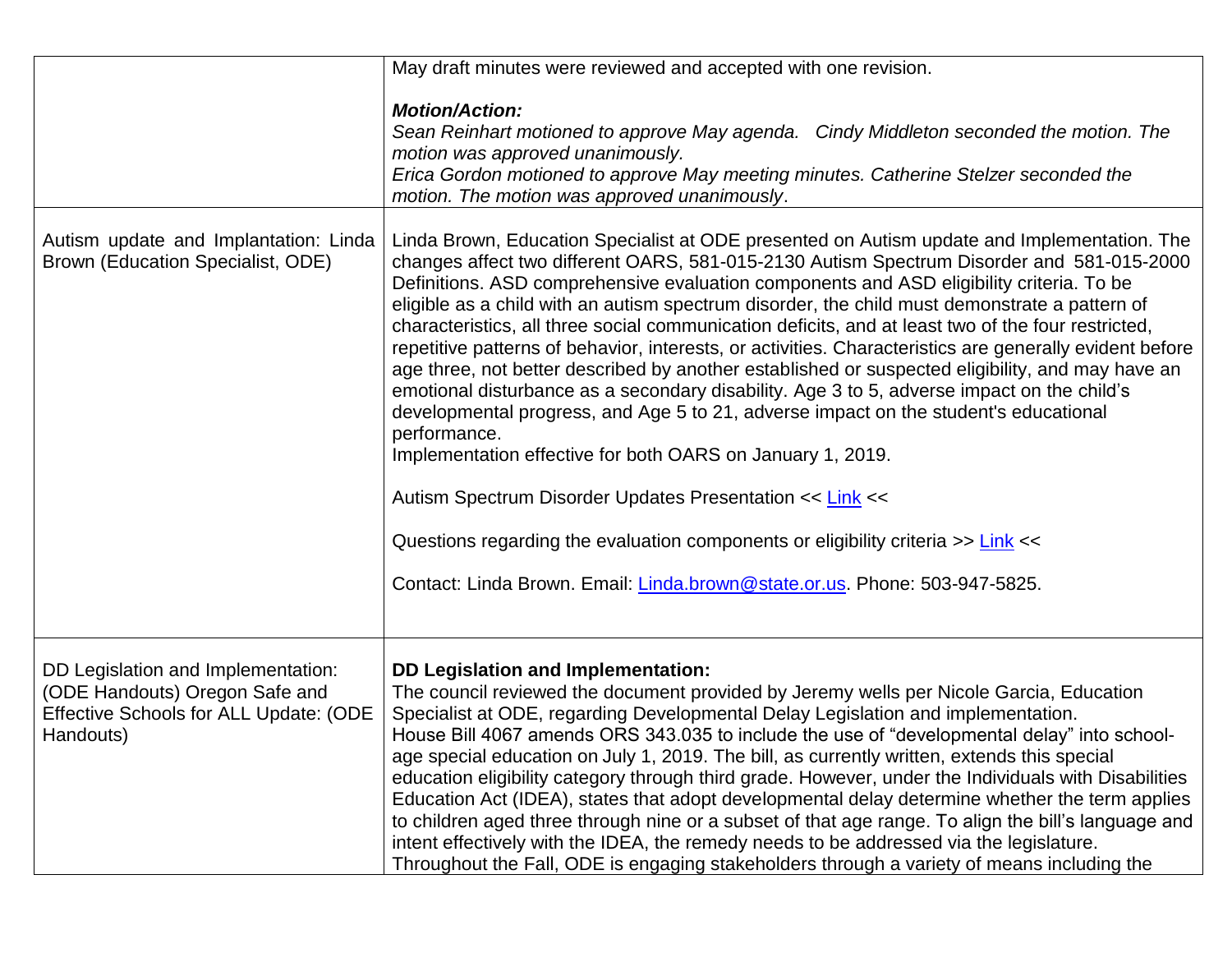|                                                                                                                             | May draft minutes were reviewed and accepted with one revision.                                                                                                                                                                                                                                                                                                                                                                                                                                                                                                                                                                                                                                                                                                                                                                                                                                                                                                                                                                                                                                                                                                                                                      |
|-----------------------------------------------------------------------------------------------------------------------------|----------------------------------------------------------------------------------------------------------------------------------------------------------------------------------------------------------------------------------------------------------------------------------------------------------------------------------------------------------------------------------------------------------------------------------------------------------------------------------------------------------------------------------------------------------------------------------------------------------------------------------------------------------------------------------------------------------------------------------------------------------------------------------------------------------------------------------------------------------------------------------------------------------------------------------------------------------------------------------------------------------------------------------------------------------------------------------------------------------------------------------------------------------------------------------------------------------------------|
|                                                                                                                             | <b>Motion/Action:</b><br>Sean Reinhart motioned to approve May agenda. Cindy Middleton seconded the motion. The<br>motion was approved unanimously.<br>Erica Gordon motioned to approve May meeting minutes. Catherine Stelzer seconded the<br>motion. The motion was approved unanimously.                                                                                                                                                                                                                                                                                                                                                                                                                                                                                                                                                                                                                                                                                                                                                                                                                                                                                                                          |
| Autism update and Implantation: Linda<br>Brown (Education Specialist, ODE)                                                  | Linda Brown, Education Specialist at ODE presented on Autism update and Implementation. The<br>changes affect two different OARS, 581-015-2130 Autism Spectrum Disorder and 581-015-2000<br>Definitions. ASD comprehensive evaluation components and ASD eligibility criteria. To be<br>eligible as a child with an autism spectrum disorder, the child must demonstrate a pattern of<br>characteristics, all three social communication deficits, and at least two of the four restricted,<br>repetitive patterns of behavior, interests, or activities. Characteristics are generally evident before<br>age three, not better described by another established or suspected eligibility, and may have an<br>emotional disturbance as a secondary disability. Age 3 to 5, adverse impact on the child's<br>developmental progress, and Age 5 to 21, adverse impact on the student's educational<br>performance.<br>Implementation effective for both OARS on January 1, 2019.<br>Autism Spectrum Disorder Updates Presentation << Link <<<br>Questions regarding the evaluation components or eligibility criteria >> Link <<<br>Contact: Linda Brown. Email: <i>Linda.brown@state.or.us</i> . Phone: 503-947-5825. |
| DD Legislation and Implementation:<br>(ODE Handouts) Oregon Safe and<br>Effective Schools for ALL Update: (ODE<br>Handouts) | <b>DD Legislation and Implementation:</b><br>The council reviewed the document provided by Jeremy wells per Nicole Garcia, Education<br>Specialist at ODE, regarding Developmental Delay Legislation and implementation.<br>House Bill 4067 amends ORS 343.035 to include the use of "developmental delay" into school-<br>age special education on July 1, 2019. The bill, as currently written, extends this special<br>education eligibility category through third grade. However, under the Individuals with Disabilities<br>Education Act (IDEA), states that adopt developmental delay determine whether the term applies<br>to children aged three through nine or a subset of that age range. To align the bill's language and<br>intent effectively with the IDEA, the remedy needs to be addressed via the legislature.<br>Throughout the Fall, ODE is engaging stakeholders through a variety of means including the                                                                                                                                                                                                                                                                                     |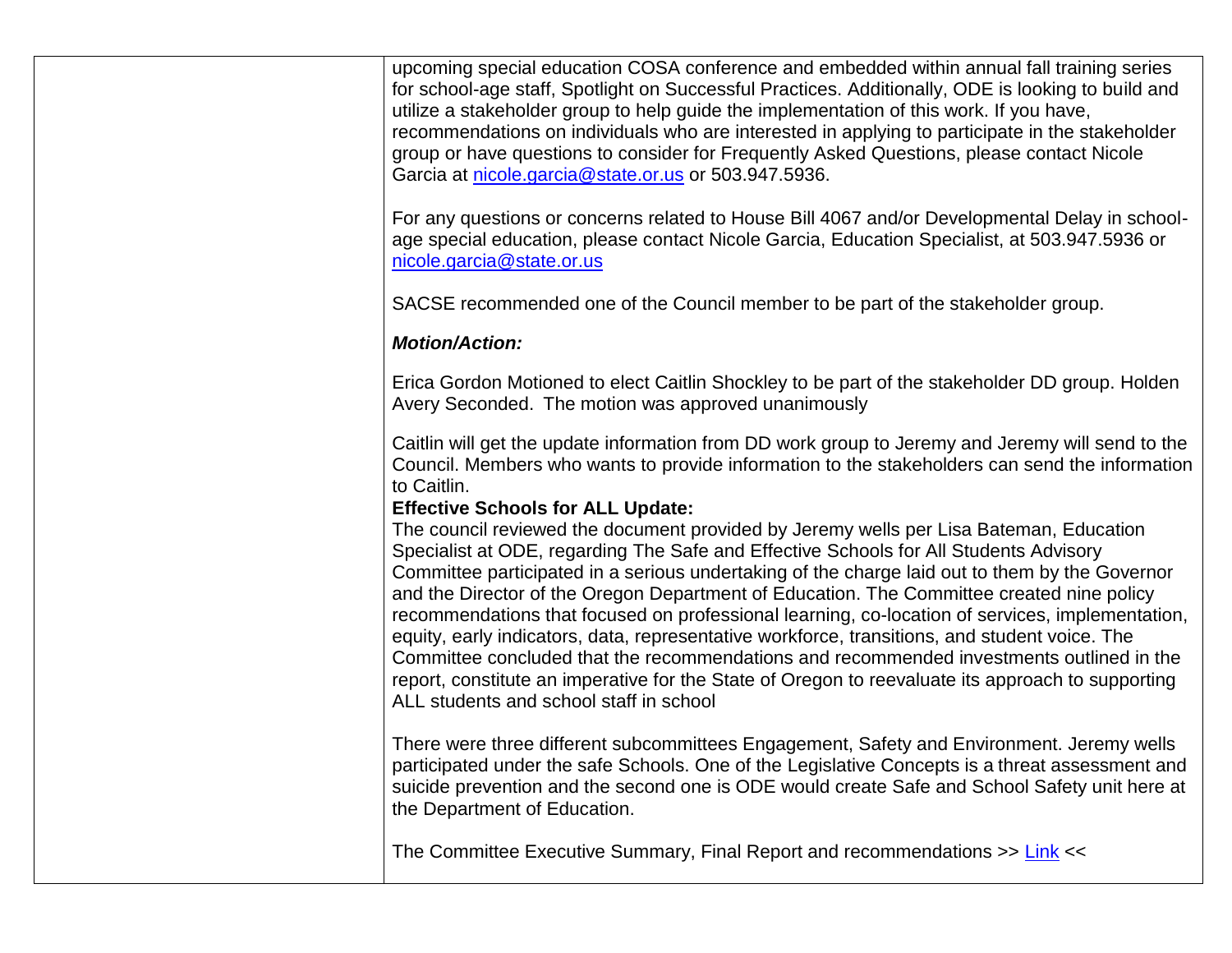upcoming special education COSA conference and embedded within annual fall training series for school-age staff, Spotlight on Successful Practices. Additionally, ODE is looking to build and utilize a stakeholder group to help guide the implementation of this work. If you have, recommendations on individuals who are interested in applying to participate in the stakeholder group or have questions to consider for Frequently Asked Questions, please contact Nicole Garcia at [nicole.garcia@state.or.us](mailto:nicole.garcia@state.or.us) or 503.947.5936.

For any questions or concerns related to House Bill 4067 and/or Developmental Delay in schoolage special education, please contact Nicole Garcia, Education Specialist, at 503.947.5936 or [nicole.garcia@state.or.us](mailto:nicole.garcia@state.or.us)

SACSE recommended one of the Council member to be part of the stakeholder group.

## *Motion/Action:*

Erica Gordon Motioned to elect Caitlin Shockley to be part of the stakeholder DD group. Holden Avery Seconded. The motion was approved unanimously

Caitlin will get the update information from DD work group to Jeremy and Jeremy will send to the Council. Members who wants to provide information to the stakeholders can send the information to Caitlin.

## **Effective Schools for ALL Update:**

The council reviewed the document provided by Jeremy wells per Lisa Bateman, Education Specialist at ODE, regarding The Safe and Effective Schools for All Students Advisory Committee participated in a serious undertaking of the charge laid out to them by the Governor and the Director of the Oregon Department of Education. The Committee created nine policy recommendations that focused on professional learning, co-location of services, implementation, equity, early indicators, data, representative workforce, transitions, and student voice. The Committee concluded that the recommendations and recommended investments outlined in the report, constitute an imperative for the State of Oregon to reevaluate its approach to supporting ALL students and school staff in school

There were three different subcommittees Engagement, Safety and Environment. Jeremy wells participated under the safe Schools. One of the Legislative Concepts is a threat assessment and suicide prevention and the second one is ODE would create Safe and School Safety unit here at the Department of Education.

The Committee Executive Summary, Final Report and recommendations >> [Link](https://www.oregon.gov/ode/about-us/Pages/SafeEffectiveSchoolsforALL.aspx) <<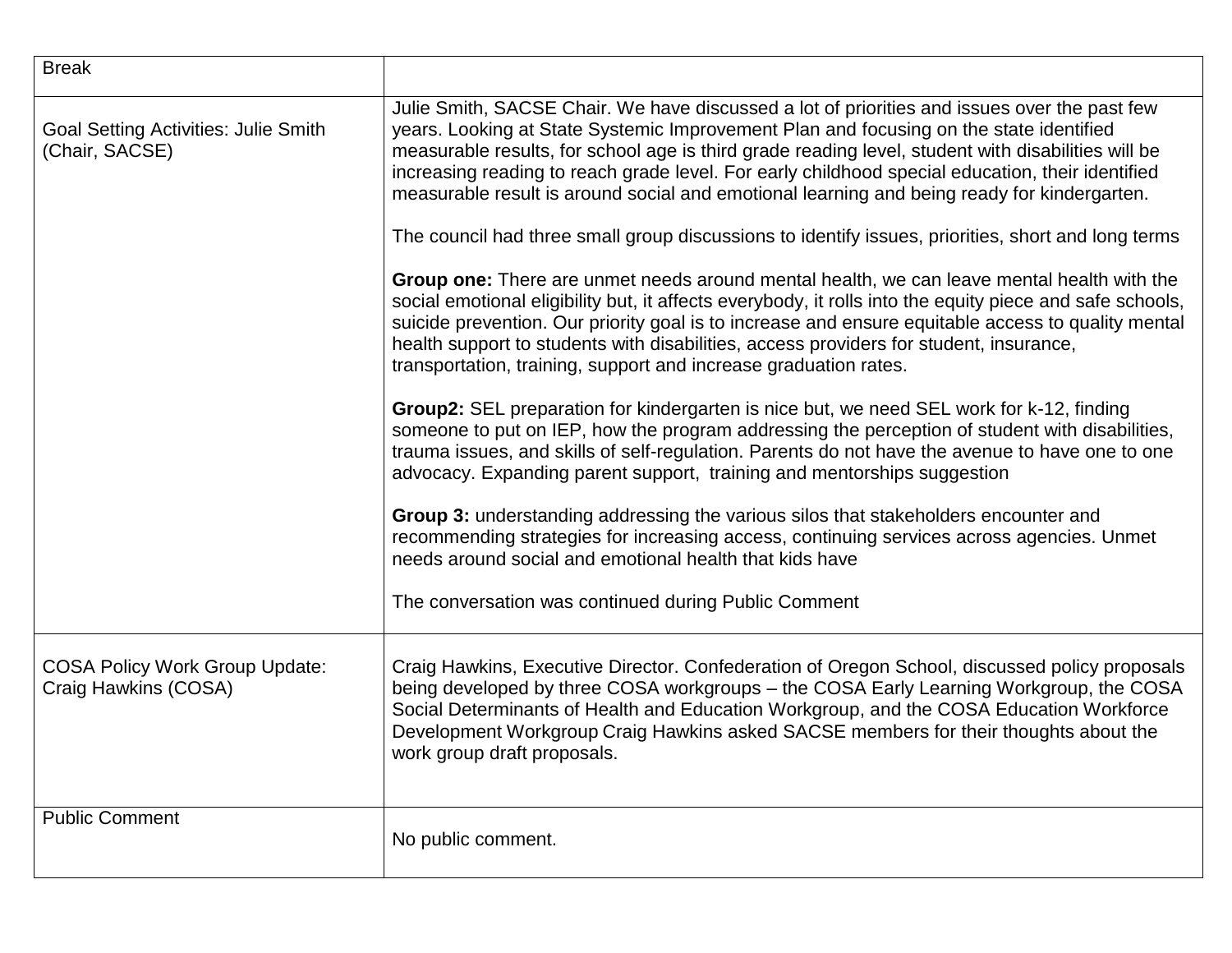| <b>Break</b>                                                  |                                                                                                                                                                                                                                                                                                                                                                                                                                                                                                                                                                                                       |
|---------------------------------------------------------------|-------------------------------------------------------------------------------------------------------------------------------------------------------------------------------------------------------------------------------------------------------------------------------------------------------------------------------------------------------------------------------------------------------------------------------------------------------------------------------------------------------------------------------------------------------------------------------------------------------|
| <b>Goal Setting Activities: Julie Smith</b><br>(Chair, SACSE) | Julie Smith, SACSE Chair. We have discussed a lot of priorities and issues over the past few<br>years. Looking at State Systemic Improvement Plan and focusing on the state identified<br>measurable results, for school age is third grade reading level, student with disabilities will be<br>increasing reading to reach grade level. For early childhood special education, their identified<br>measurable result is around social and emotional learning and being ready for kindergarten.<br>The council had three small group discussions to identify issues, priorities, short and long terms |
|                                                               | Group one: There are unmet needs around mental health, we can leave mental health with the<br>social emotional eligibility but, it affects everybody, it rolls into the equity piece and safe schools,<br>suicide prevention. Our priority goal is to increase and ensure equitable access to quality mental<br>health support to students with disabilities, access providers for student, insurance,<br>transportation, training, support and increase graduation rates.                                                                                                                            |
|                                                               | Group2: SEL preparation for kindergarten is nice but, we need SEL work for k-12, finding<br>someone to put on IEP, how the program addressing the perception of student with disabilities,<br>trauma issues, and skills of self-regulation. Parents do not have the avenue to have one to one<br>advocacy. Expanding parent support, training and mentorships suggestion                                                                                                                                                                                                                              |
|                                                               | Group 3: understanding addressing the various silos that stakeholders encounter and<br>recommending strategies for increasing access, continuing services across agencies. Unmet<br>needs around social and emotional health that kids have                                                                                                                                                                                                                                                                                                                                                           |
|                                                               | The conversation was continued during Public Comment                                                                                                                                                                                                                                                                                                                                                                                                                                                                                                                                                  |
| <b>COSA Policy Work Group Update:</b><br>Craig Hawkins (COSA) | Craig Hawkins, Executive Director. Confederation of Oregon School, discussed policy proposals<br>being developed by three COSA workgroups - the COSA Early Learning Workgroup, the COSA<br>Social Determinants of Health and Education Workgroup, and the COSA Education Workforce<br>Development Workgroup Craig Hawkins asked SACSE members for their thoughts about the<br>work group draft proposals.                                                                                                                                                                                             |
| <b>Public Comment</b>                                         | No public comment.                                                                                                                                                                                                                                                                                                                                                                                                                                                                                                                                                                                    |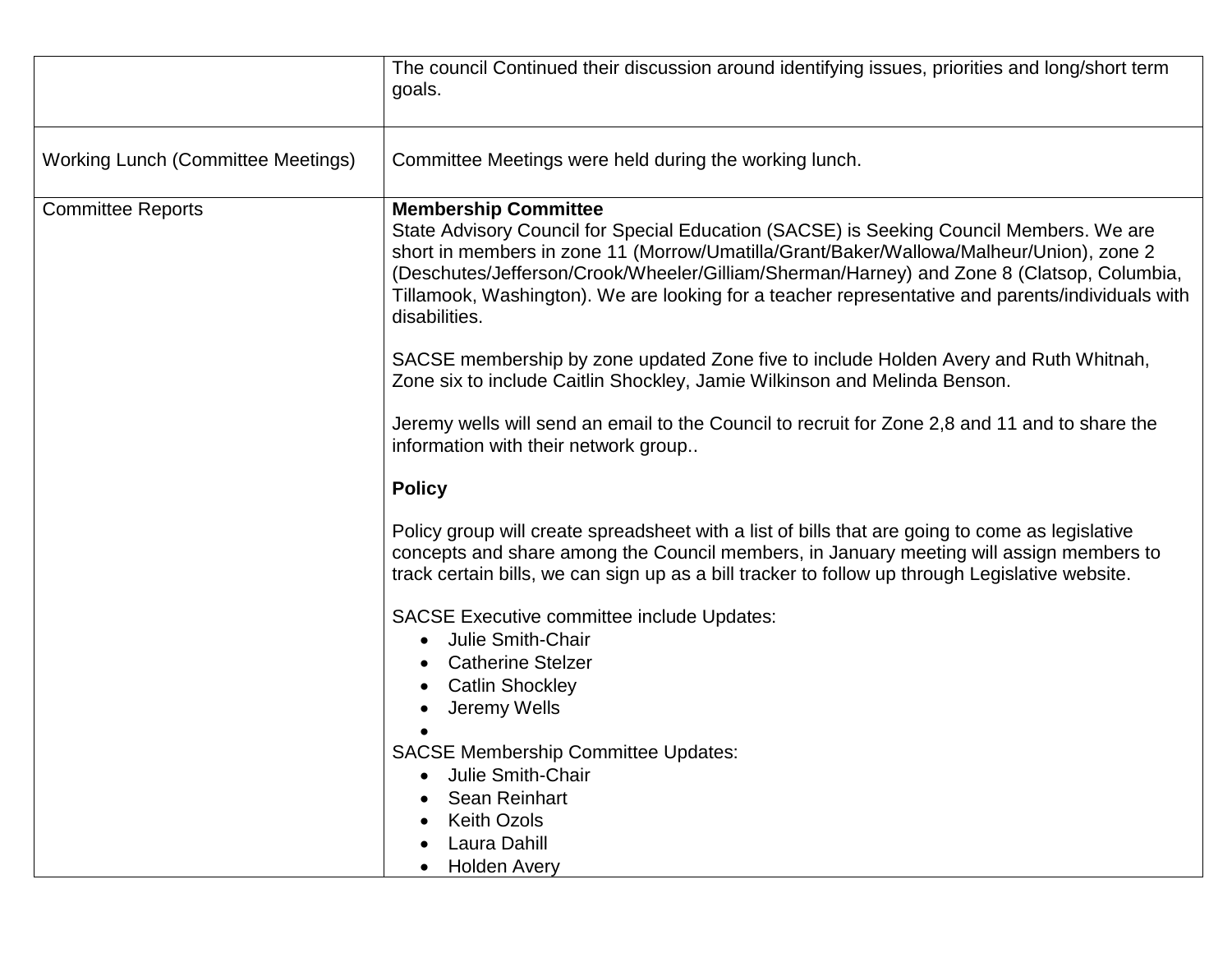|                                    | The council Continued their discussion around identifying issues, priorities and long/short term<br>goals.                                                                                                                                                                                                                                                                                                                          |
|------------------------------------|-------------------------------------------------------------------------------------------------------------------------------------------------------------------------------------------------------------------------------------------------------------------------------------------------------------------------------------------------------------------------------------------------------------------------------------|
| Working Lunch (Committee Meetings) | Committee Meetings were held during the working lunch.                                                                                                                                                                                                                                                                                                                                                                              |
| <b>Committee Reports</b>           | <b>Membership Committee</b><br>State Advisory Council for Special Education (SACSE) is Seeking Council Members. We are<br>short in members in zone 11 (Morrow/Umatilla/Grant/Baker/Wallowa/Malheur/Union), zone 2<br>(Deschutes/Jefferson/Crook/Wheeler/Gilliam/Sherman/Harney) and Zone 8 (Clatsop, Columbia,<br>Tillamook, Washington). We are looking for a teacher representative and parents/individuals with<br>disabilities. |
|                                    | SACSE membership by zone updated Zone five to include Holden Avery and Ruth Whitnah,<br>Zone six to include Caitlin Shockley, Jamie Wilkinson and Melinda Benson.                                                                                                                                                                                                                                                                   |
|                                    | Jeremy wells will send an email to the Council to recruit for Zone 2,8 and 11 and to share the<br>information with their network group                                                                                                                                                                                                                                                                                              |
|                                    | <b>Policy</b>                                                                                                                                                                                                                                                                                                                                                                                                                       |
|                                    | Policy group will create spreadsheet with a list of bills that are going to come as legislative<br>concepts and share among the Council members, in January meeting will assign members to<br>track certain bills, we can sign up as a bill tracker to follow up through Legislative website.                                                                                                                                       |
|                                    | <b>SACSE Executive committee include Updates:</b>                                                                                                                                                                                                                                                                                                                                                                                   |
|                                    | Julie Smith-Chair                                                                                                                                                                                                                                                                                                                                                                                                                   |
|                                    | <b>Catherine Stelzer</b><br><b>Catlin Shockley</b>                                                                                                                                                                                                                                                                                                                                                                                  |
|                                    | Jeremy Wells                                                                                                                                                                                                                                                                                                                                                                                                                        |
|                                    |                                                                                                                                                                                                                                                                                                                                                                                                                                     |
|                                    | <b>SACSE Membership Committee Updates:</b><br><b>Julie Smith-Chair</b>                                                                                                                                                                                                                                                                                                                                                              |
|                                    | <b>Sean Reinhart</b>                                                                                                                                                                                                                                                                                                                                                                                                                |
|                                    | <b>Keith Ozols</b>                                                                                                                                                                                                                                                                                                                                                                                                                  |
|                                    | Laura Dahill                                                                                                                                                                                                                                                                                                                                                                                                                        |
|                                    | <b>Holden Avery</b>                                                                                                                                                                                                                                                                                                                                                                                                                 |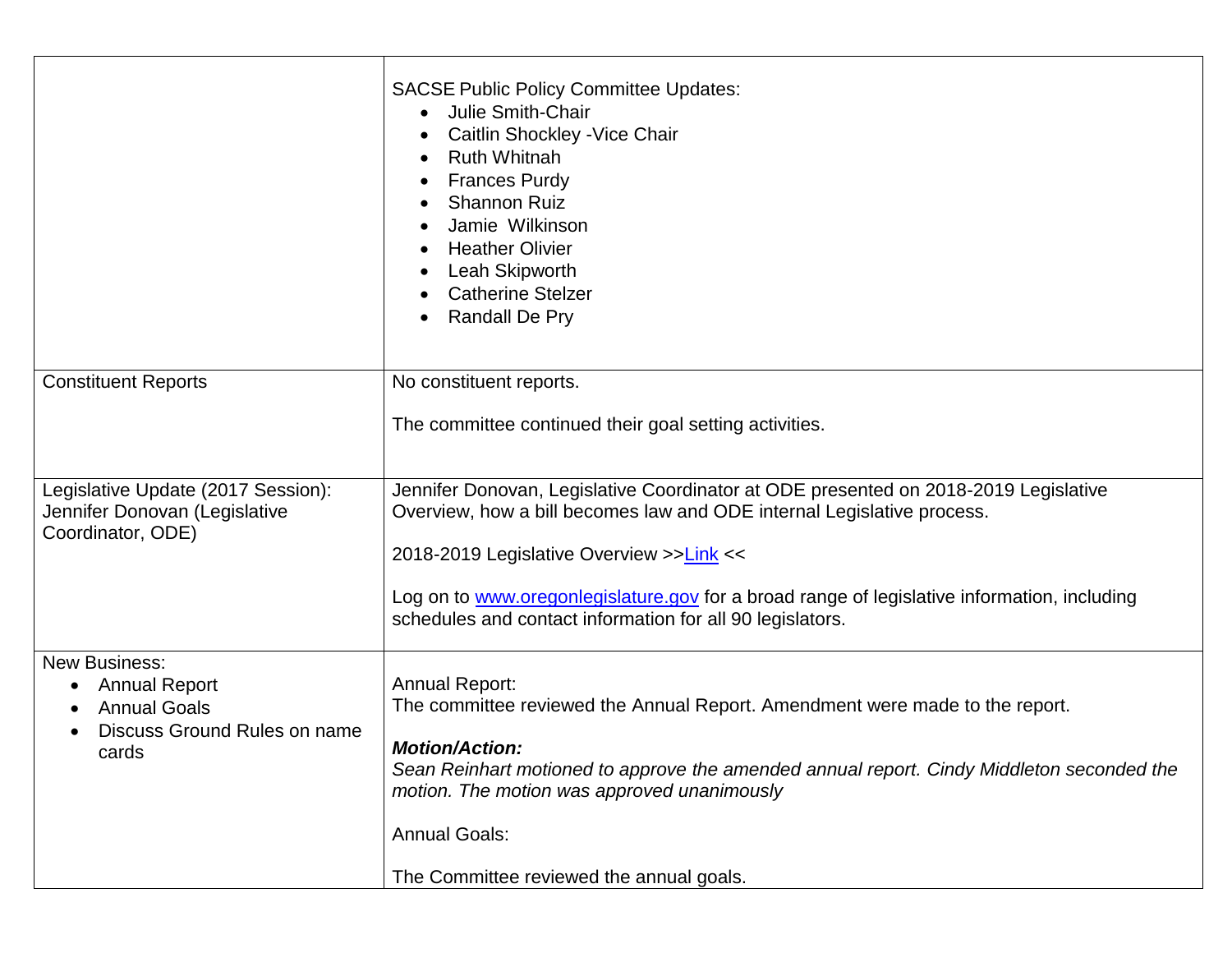|                                                                     | <b>SACSE Public Policy Committee Updates:</b><br><b>Julie Smith-Chair</b><br>$\bullet$<br>Caitlin Shockley - Vice Chair<br><b>Ruth Whitnah</b><br><b>Frances Purdy</b><br><b>Shannon Ruiz</b><br>Jamie Wilkinson<br><b>Heather Olivier</b><br><b>Leah Skipworth</b><br><b>Catherine Stelzer</b><br><b>Randall De Pry</b> |
|---------------------------------------------------------------------|--------------------------------------------------------------------------------------------------------------------------------------------------------------------------------------------------------------------------------------------------------------------------------------------------------------------------|
| <b>Constituent Reports</b>                                          | No constituent reports.                                                                                                                                                                                                                                                                                                  |
|                                                                     | The committee continued their goal setting activities.                                                                                                                                                                                                                                                                   |
| Legislative Update (2017 Session):<br>Jennifer Donovan (Legislative | Jennifer Donovan, Legislative Coordinator at ODE presented on 2018-2019 Legislative<br>Overview, how a bill becomes law and ODE internal Legislative process.                                                                                                                                                            |
| Coordinator, ODE)                                                   | 2018-2019 Legislative Overview >>Link <<                                                                                                                                                                                                                                                                                 |
|                                                                     | Log on to <b>www.oregonlegislature.gov</b> for a broad range of legislative information, including<br>schedules and contact information for all 90 legislators.                                                                                                                                                          |
| <b>New Business:</b><br><b>Annual Report</b><br><b>Annual Goals</b> | <b>Annual Report:</b><br>The committee reviewed the Annual Report. Amendment were made to the report.                                                                                                                                                                                                                    |
| Discuss Ground Rules on name<br>cards                               | <b>Motion/Action:</b><br>Sean Reinhart motioned to approve the amended annual report. Cindy Middleton seconded the<br>motion. The motion was approved unanimously                                                                                                                                                        |
|                                                                     | <b>Annual Goals:</b>                                                                                                                                                                                                                                                                                                     |
|                                                                     | The Committee reviewed the annual goals.                                                                                                                                                                                                                                                                                 |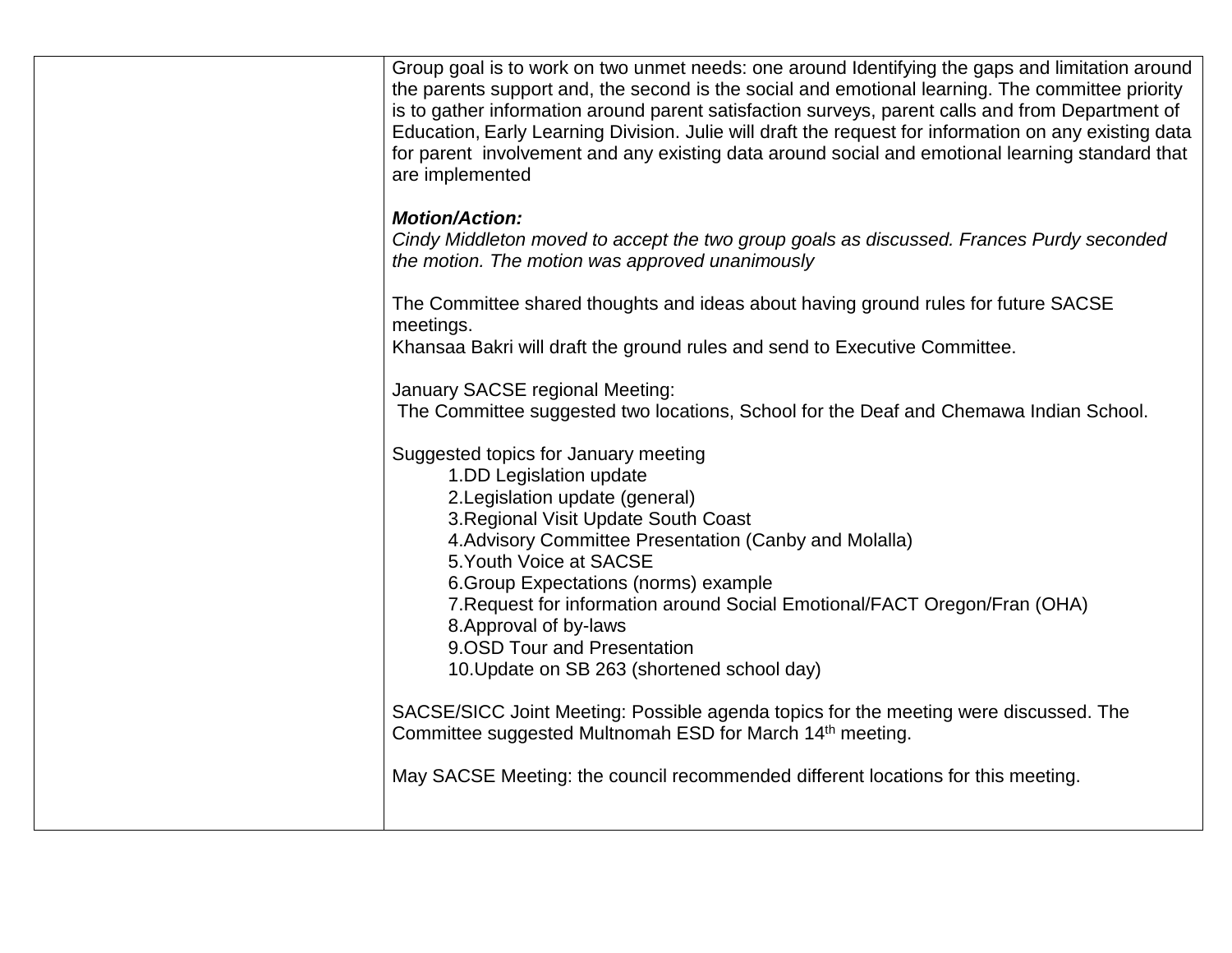| Group goal is to work on two unmet needs: one around Identifying the gaps and limitation around<br>the parents support and, the second is the social and emotional learning. The committee priority<br>is to gather information around parent satisfaction surveys, parent calls and from Department of<br>Education, Early Learning Division. Julie will draft the request for information on any existing data<br>for parent involvement and any existing data around social and emotional learning standard that<br>are implemented |
|----------------------------------------------------------------------------------------------------------------------------------------------------------------------------------------------------------------------------------------------------------------------------------------------------------------------------------------------------------------------------------------------------------------------------------------------------------------------------------------------------------------------------------------|
| <b>Motion/Action:</b><br>Cindy Middleton moved to accept the two group goals as discussed. Frances Purdy seconded<br>the motion. The motion was approved unanimously                                                                                                                                                                                                                                                                                                                                                                   |
| The Committee shared thoughts and ideas about having ground rules for future SACSE<br>meetings.<br>Khansaa Bakri will draft the ground rules and send to Executive Committee.                                                                                                                                                                                                                                                                                                                                                          |
| January SACSE regional Meeting:<br>The Committee suggested two locations, School for the Deaf and Chemawa Indian School.                                                                                                                                                                                                                                                                                                                                                                                                               |
| Suggested topics for January meeting<br>1.DD Legislation update<br>2. Legislation update (general)<br>3. Regional Visit Update South Coast<br>4. Advisory Committee Presentation (Canby and Molalla)<br>5. Youth Voice at SACSE<br>6. Group Expectations (norms) example<br>7. Request for information around Social Emotional/FACT Oregon/Fran (OHA)<br>8. Approval of by-laws<br>9.OSD Tour and Presentation<br>10. Update on SB 263 (shortened school day)                                                                          |
| SACSE/SICC Joint Meeting: Possible agenda topics for the meeting were discussed. The<br>Committee suggested Multnomah ESD for March 14 <sup>th</sup> meeting.                                                                                                                                                                                                                                                                                                                                                                          |
| May SACSE Meeting: the council recommended different locations for this meeting.                                                                                                                                                                                                                                                                                                                                                                                                                                                       |
|                                                                                                                                                                                                                                                                                                                                                                                                                                                                                                                                        |